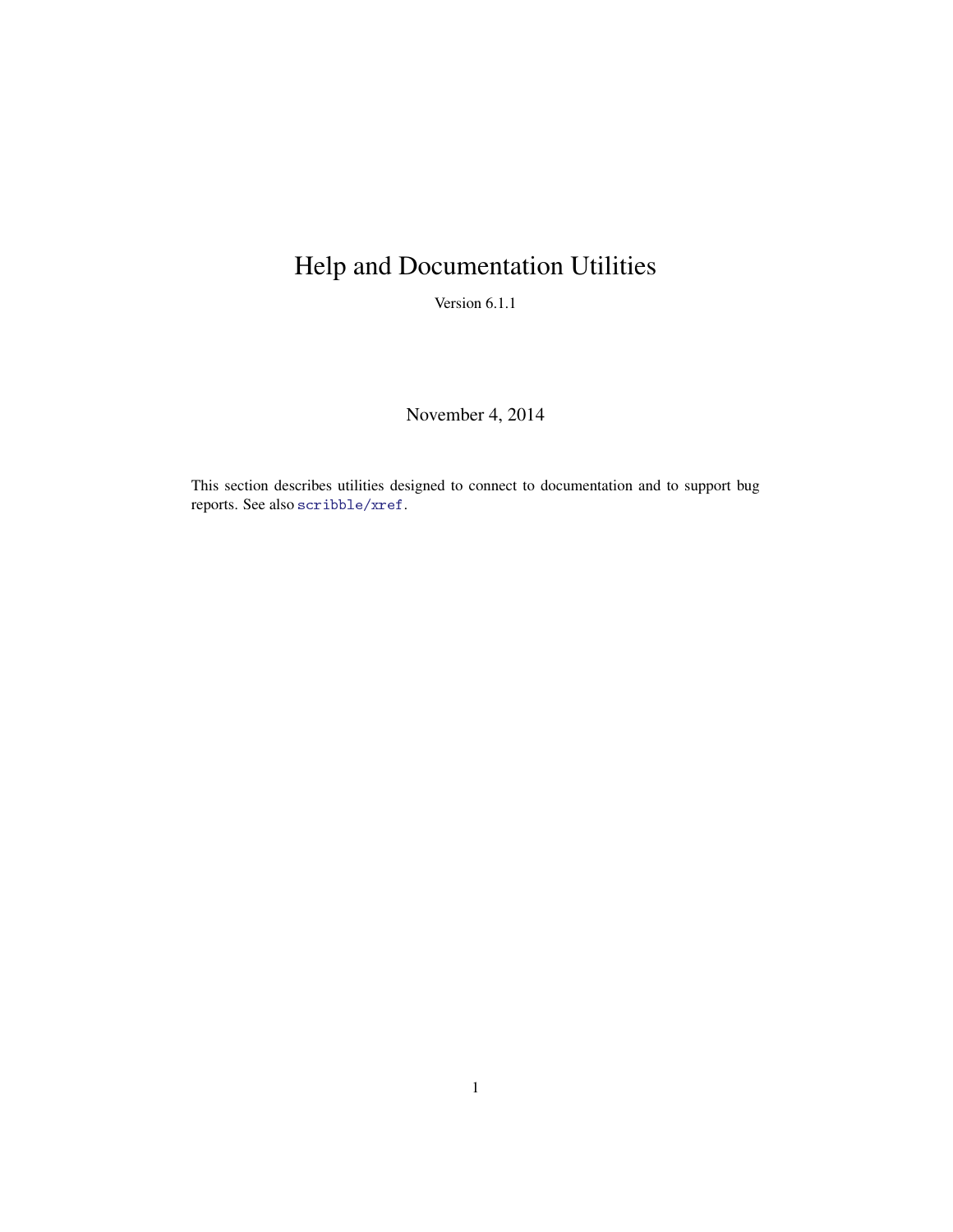## Help and Documentation Utilities

Version 6.1.1

November 4, 2014

This section describes utilities designed to connect to documentation and to support bug reports. See also scribble/xref.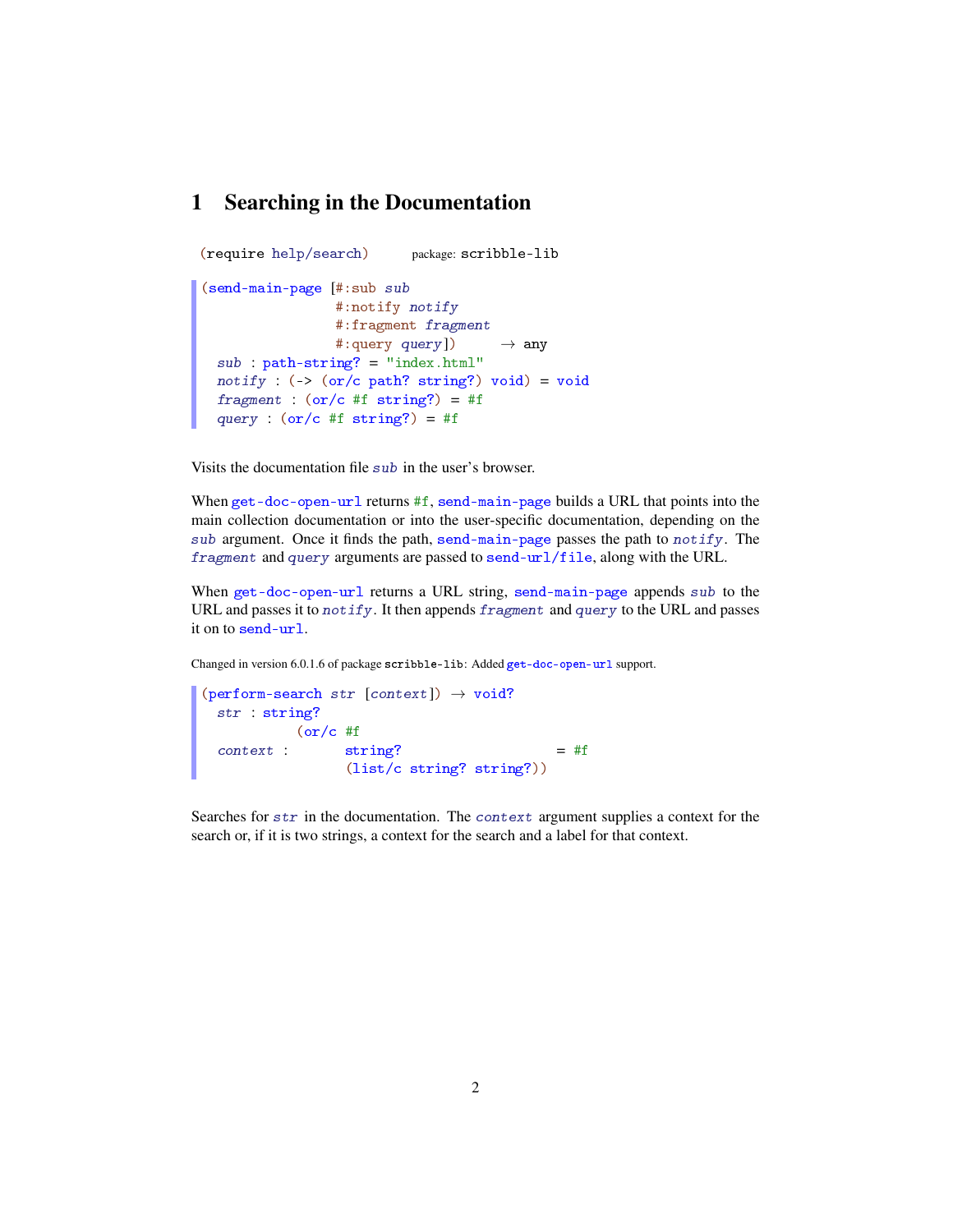## 1 Searching in the Documentation

```
(require help/search) package: scribble-lib
(send-main-page [#:sub sub
                 #:notify notify
                 #:fragment fragment
                 #:query query]) \rightarrow any
  sub : path-string? = "index.html"
 notify : (\rightarrow (\text{or}/\text{c path? string?)} void) = void
  fragment : (or/c #f string?) = #f
  query : (or/c #f string?) = #f
```
Visits the documentation file sub in the user's browser.

When get-doc-open-url returns #f, send-main-page builds a URL that points into the main collection documentation or into the user-specific documentation, depending on the sub argument. Once it finds the path, send-main-page passes the path to notify. The fragment and query arguments are passed to send-url/file, along with the URL.

When get-doc-open-url returns a URL string, send-main-page appends sub to the URL and passes it to notify. It then appends fragment and query to the URL and passes it on to send-url.

Changed in version 6.0.1.6 of package scribble-lib: Added get-doc-open-url support.

```
(perform-search str [context]) \rightarrow void?
  str : string?
  context :
string?
      (or/c #f
                 (list/c string? string?))
                                           = #f
```
Searches for str in the documentation. The context argument supplies a context for the search or, if it is two strings, a context for the search and a label for that context.